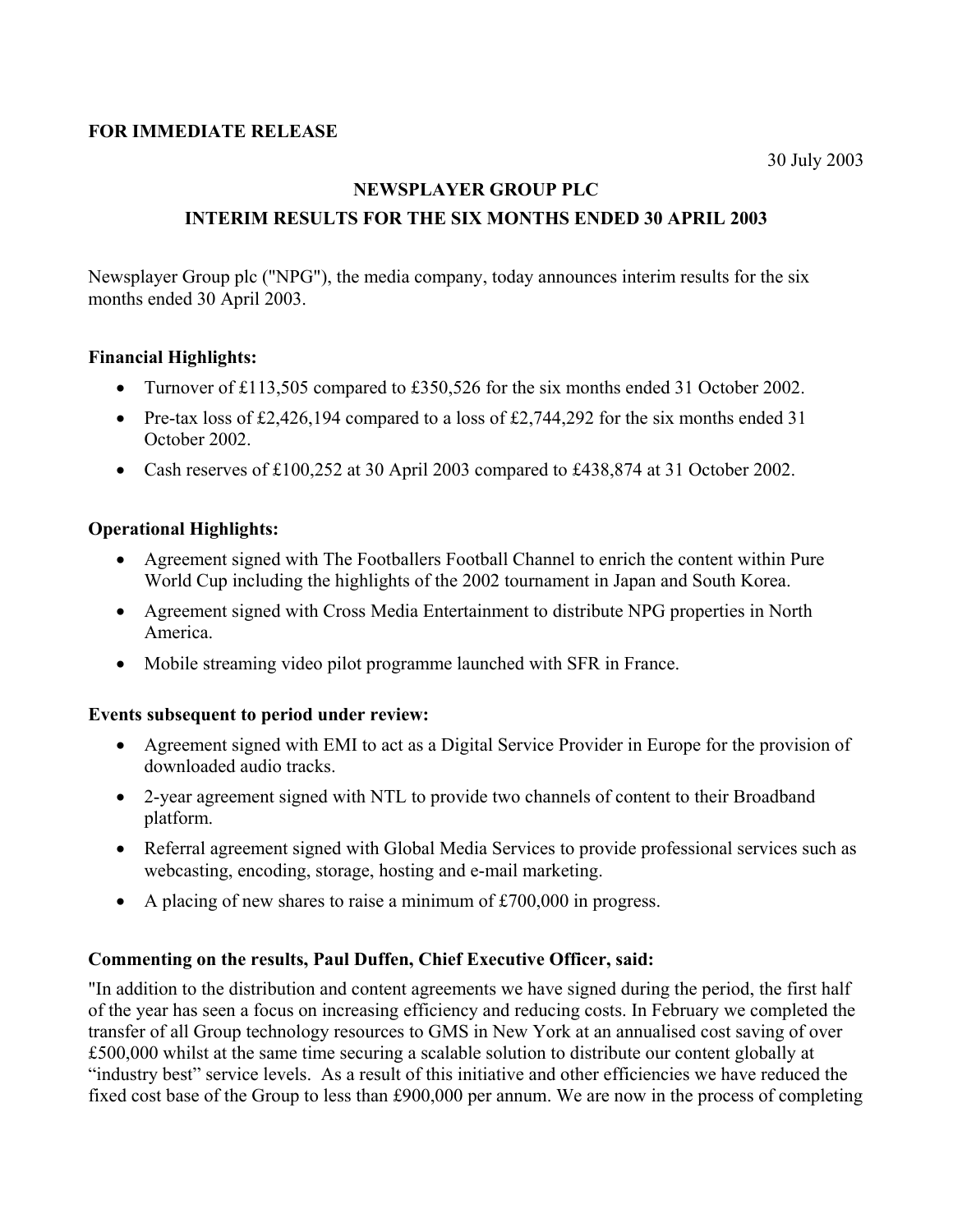## **FOR IMMEDIATE RELEASE**

## **NEWSPLAYER GROUP PLC**

# **INTERIM RESULTS FOR THE SIX MONTHS ENDED 30 APRIL 2003**

Newsplayer Group plc ("NPG"), the media company, today announces interim results for the six months ended 30 April 2003.

## **Financial Highlights:**

- Turnover of £113,505 compared to £350,526 for the six months ended 31 October 2002.
- Pre-tax loss of £2,426,194 compared to a loss of £2,744,292 for the six months ended 31 October 2002.
- Cash reserves of £100,252 at 30 April 2003 compared to £438,874 at 31 October 2002.

## **Operational Highlights:**

- Agreement signed with The Footballers Football Channel to enrich the content within Pure World Cup including the highlights of the 2002 tournament in Japan and South Korea.
- Agreement signed with Cross Media Entertainment to distribute NPG properties in North America.
- Mobile streaming video pilot programme launched with SFR in France.

### **Events subsequent to period under review:**

- Agreement signed with EMI to act as a Digital Service Provider in Europe for the provision of downloaded audio tracks.
- 2-year agreement signed with NTL to provide two channels of content to their Broadband platform.
- Referral agreement signed with Global Media Services to provide professional services such as webcasting, encoding, storage, hosting and e-mail marketing.
- A placing of new shares to raise a minimum of £700,000 in progress.

### **Commenting on the results, Paul Duffen, Chief Executive Officer, said:**

"In addition to the distribution and content agreements we have signed during the period, the first half of the year has seen a focus on increasing efficiency and reducing costs. In February we completed the transfer of all Group technology resources to GMS in New York at an annualised cost saving of over £500,000 whilst at the same time securing a scalable solution to distribute our content globally at "industry best" service levels. As a result of this initiative and other efficiencies we have reduced the fixed cost base of the Group to less than £900,000 per annum. We are now in the process of completing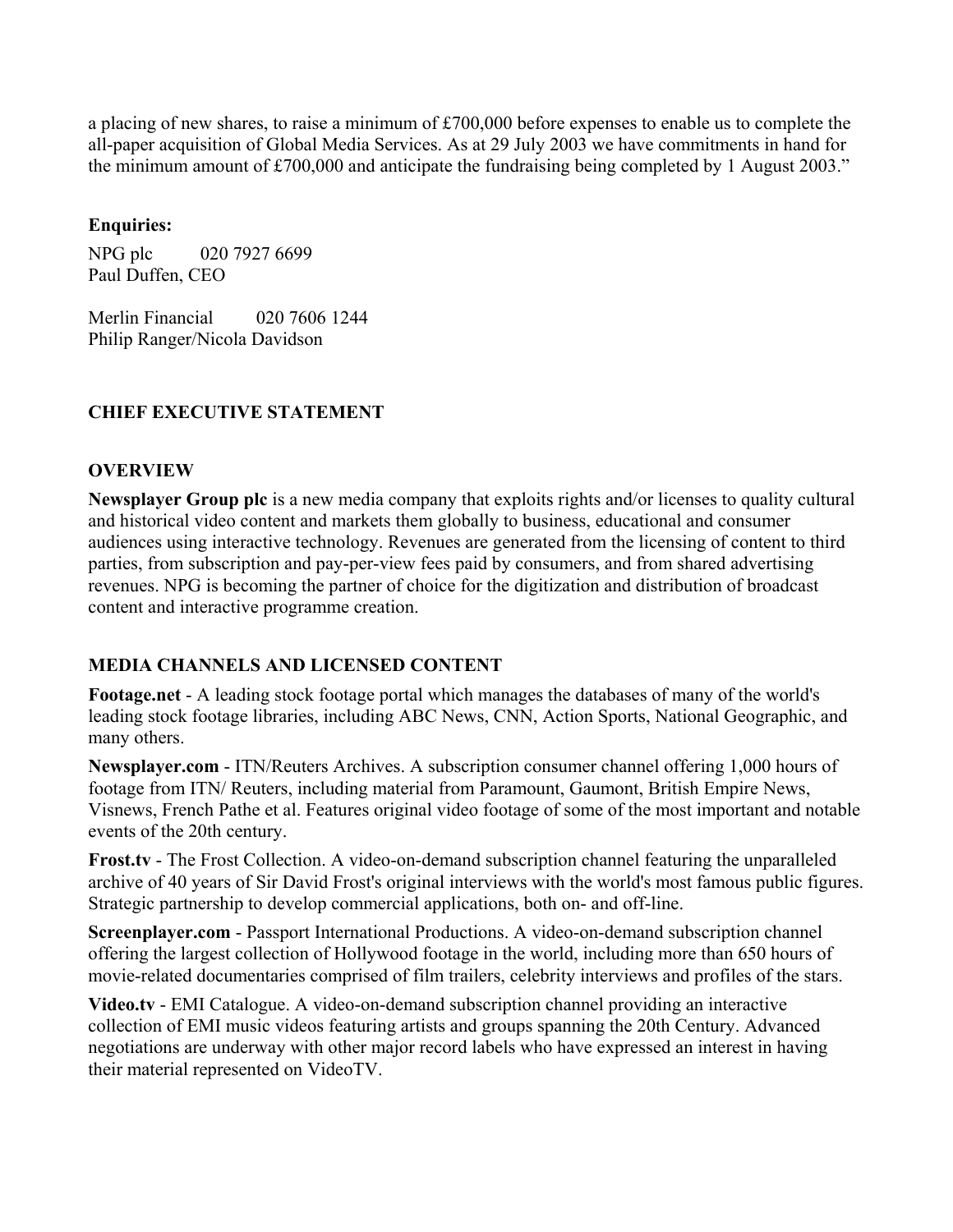a placing of new shares, to raise a minimum of £700,000 before expenses to enable us to complete the all-paper acquisition of Global Media Services. As at 29 July 2003 we have commitments in hand for the minimum amount of £700,000 and anticipate the fundraising being completed by 1 August 2003."

## **Enquiries:**

NPG plc 020 7927 6699 Paul Duffen, CEO

Merlin Financial 020 7606 1244 Philip Ranger/Nicola Davidson

# **CHIEF EXECUTIVE STATEMENT**

## **OVERVIEW**

**Newsplayer Group plc** is a new media company that exploits rights and/or licenses to quality cultural and historical video content and markets them globally to business, educational and consumer audiences using interactive technology. Revenues are generated from the licensing of content to third parties, from subscription and pay-per-view fees paid by consumers, and from shared advertising revenues. NPG is becoming the partner of choice for the digitization and distribution of broadcast content and interactive programme creation.

# **MEDIA CHANNELS AND LICENSED CONTENT**

**Footage.net** - A leading stock footage portal which manages the databases of many of the world's leading stock footage libraries, including ABC News, CNN, Action Sports, National Geographic, and many others.

**Newsplayer.com** - ITN/Reuters Archives. A subscription consumer channel offering 1,000 hours of footage from ITN/ Reuters, including material from Paramount, Gaumont, British Empire News, Visnews, French Pathe et al. Features original video footage of some of the most important and notable events of the 20th century.

**Frost.tv** - The Frost Collection. A video-on-demand subscription channel featuring the unparalleled archive of 40 years of Sir David Frost's original interviews with the world's most famous public figures. Strategic partnership to develop commercial applications, both on- and off-line.

**Screenplayer.com** - Passport International Productions. A video-on-demand subscription channel offering the largest collection of Hollywood footage in the world, including more than 650 hours of movie-related documentaries comprised of film trailers, celebrity interviews and profiles of the stars.

**Video.tv** - EMI Catalogue. A video-on-demand subscription channel providing an interactive collection of EMI music videos featuring artists and groups spanning the 20th Century. Advanced negotiations are underway with other major record labels who have expressed an interest in having their material represented on VideoTV.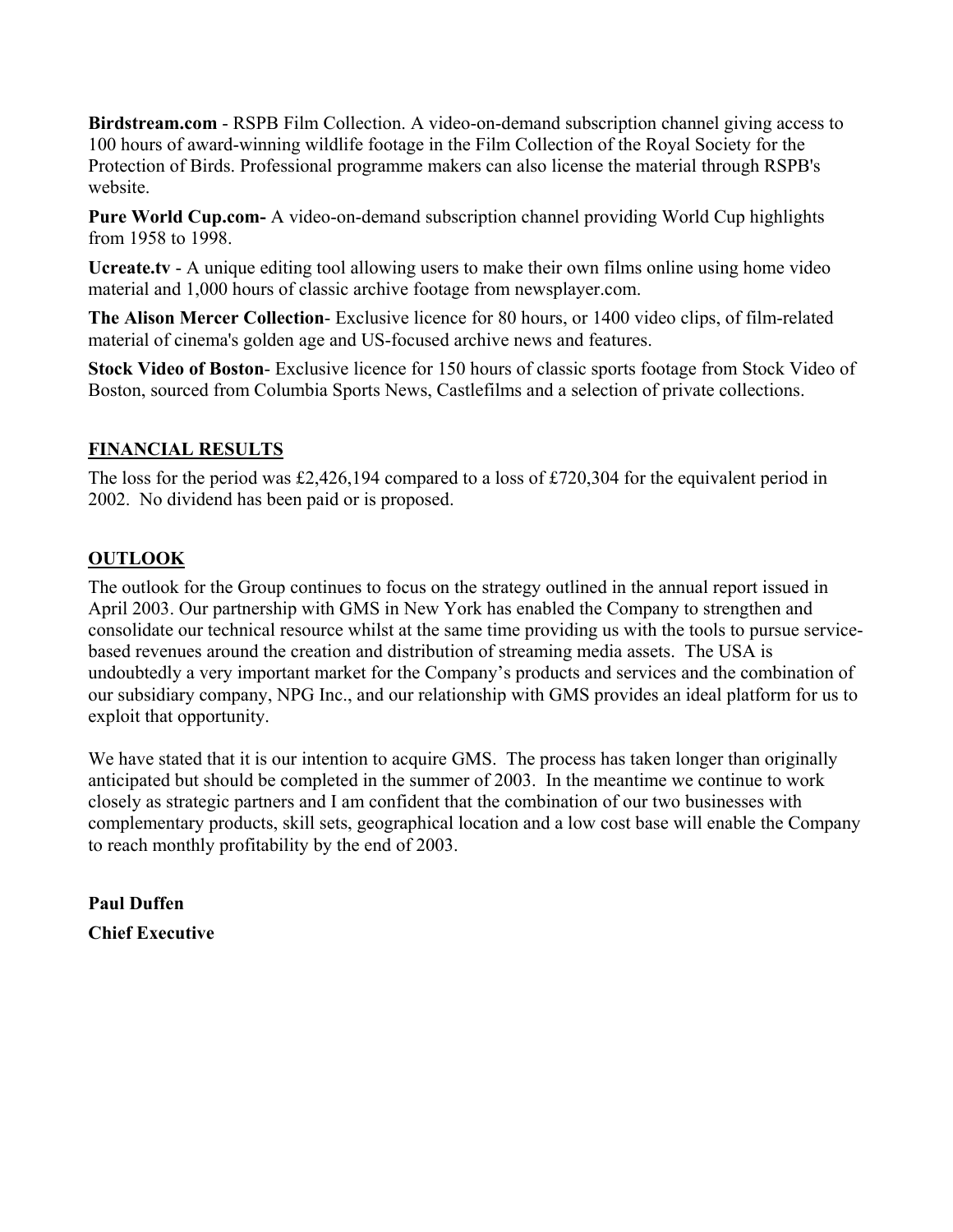**Birdstream.com** - RSPB Film Collection. A video-on-demand subscription channel giving access to 100 hours of award-winning wildlife footage in the Film Collection of the Royal Society for the Protection of Birds. Professional programme makers can also license the material through RSPB's website.

**Pure World Cup.com-** A video-on-demand subscription channel providing World Cup highlights from 1958 to 1998.

**Ucreate.tv** - A unique editing tool allowing users to make their own films online using home video material and 1,000 hours of classic archive footage from newsplayer.com.

**The Alison Mercer Collection**- Exclusive licence for 80 hours, or 1400 video clips, of film-related material of cinema's golden age and US-focused archive news and features.

**Stock Video of Boston**- Exclusive licence for 150 hours of classic sports footage from Stock Video of Boston, sourced from Columbia Sports News, Castlefilms and a selection of private collections.

# **FINANCIAL RESULTS**

The loss for the period was £2,426,194 compared to a loss of £720,304 for the equivalent period in 2002. No dividend has been paid or is proposed.

# **OUTLOOK**

The outlook for the Group continues to focus on the strategy outlined in the annual report issued in April 2003. Our partnership with GMS in New York has enabled the Company to strengthen and consolidate our technical resource whilst at the same time providing us with the tools to pursue servicebased revenues around the creation and distribution of streaming media assets. The USA is undoubtedly a very important market for the Company's products and services and the combination of our subsidiary company, NPG Inc., and our relationship with GMS provides an ideal platform for us to exploit that opportunity.

We have stated that it is our intention to acquire GMS. The process has taken longer than originally anticipated but should be completed in the summer of 2003. In the meantime we continue to work closely as strategic partners and I am confident that the combination of our two businesses with complementary products, skill sets, geographical location and a low cost base will enable the Company to reach monthly profitability by the end of 2003.

**Paul Duffen Chief Executive**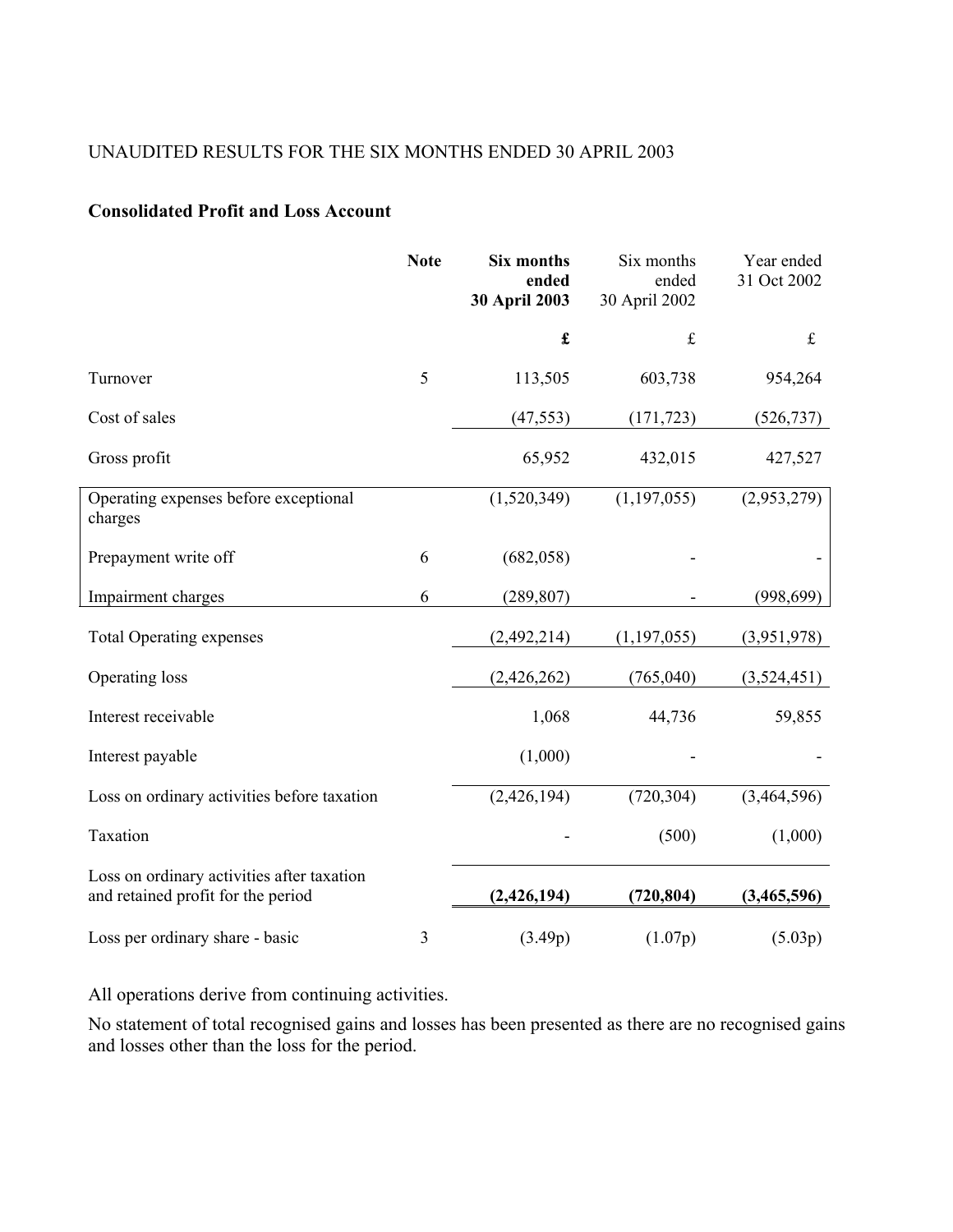# UNAUDITED RESULTS FOR THE SIX MONTHS ENDED 30 APRIL 2003

## **Consolidated Profit and Loss Account**

|                                                                                  | <b>Note</b> | Six months<br>ended<br>30 April 2003 | Six months<br>ended<br>30 April 2002 | Year ended<br>31 Oct 2002 |
|----------------------------------------------------------------------------------|-------------|--------------------------------------|--------------------------------------|---------------------------|
|                                                                                  |             | $\pmb{\mathfrak{L}}$                 | $\pounds$                            | $\mathbf f$               |
| Turnover                                                                         | 5           | 113,505                              | 603,738                              | 954,264                   |
| Cost of sales                                                                    |             | (47, 553)                            | (171, 723)                           | (526, 737)                |
| Gross profit                                                                     |             | 65,952                               | 432,015                              | 427,527                   |
| Operating expenses before exceptional<br>charges                                 |             | (1,520,349)                          | (1, 197, 055)                        | (2,953,279)               |
| Prepayment write off                                                             | 6           | (682, 058)                           |                                      |                           |
| Impairment charges                                                               | 6           | (289, 807)                           |                                      | (998, 699)                |
| <b>Total Operating expenses</b>                                                  |             | (2,492,214)                          | (1,197,055)                          | (3,951,978)               |
| Operating loss                                                                   |             | (2,426,262)                          | (765,040)                            | (3,524,451)               |
| Interest receivable                                                              |             | 1,068                                | 44,736                               | 59,855                    |
| Interest payable                                                                 |             | (1,000)                              |                                      |                           |
| Loss on ordinary activities before taxation                                      |             | (2,426,194)                          | (720, 304)                           | (3,464,596)               |
| Taxation                                                                         |             |                                      | (500)                                | (1,000)                   |
| Loss on ordinary activities after taxation<br>and retained profit for the period |             | (2,426,194)                          | (720, 804)                           | (3,465,596)               |
| Loss per ordinary share - basic                                                  | 3           | (3.49p)                              | (1.07p)                              | (5.03p)                   |

All operations derive from continuing activities.

No statement of total recognised gains and losses has been presented as there are no recognised gains and losses other than the loss for the period.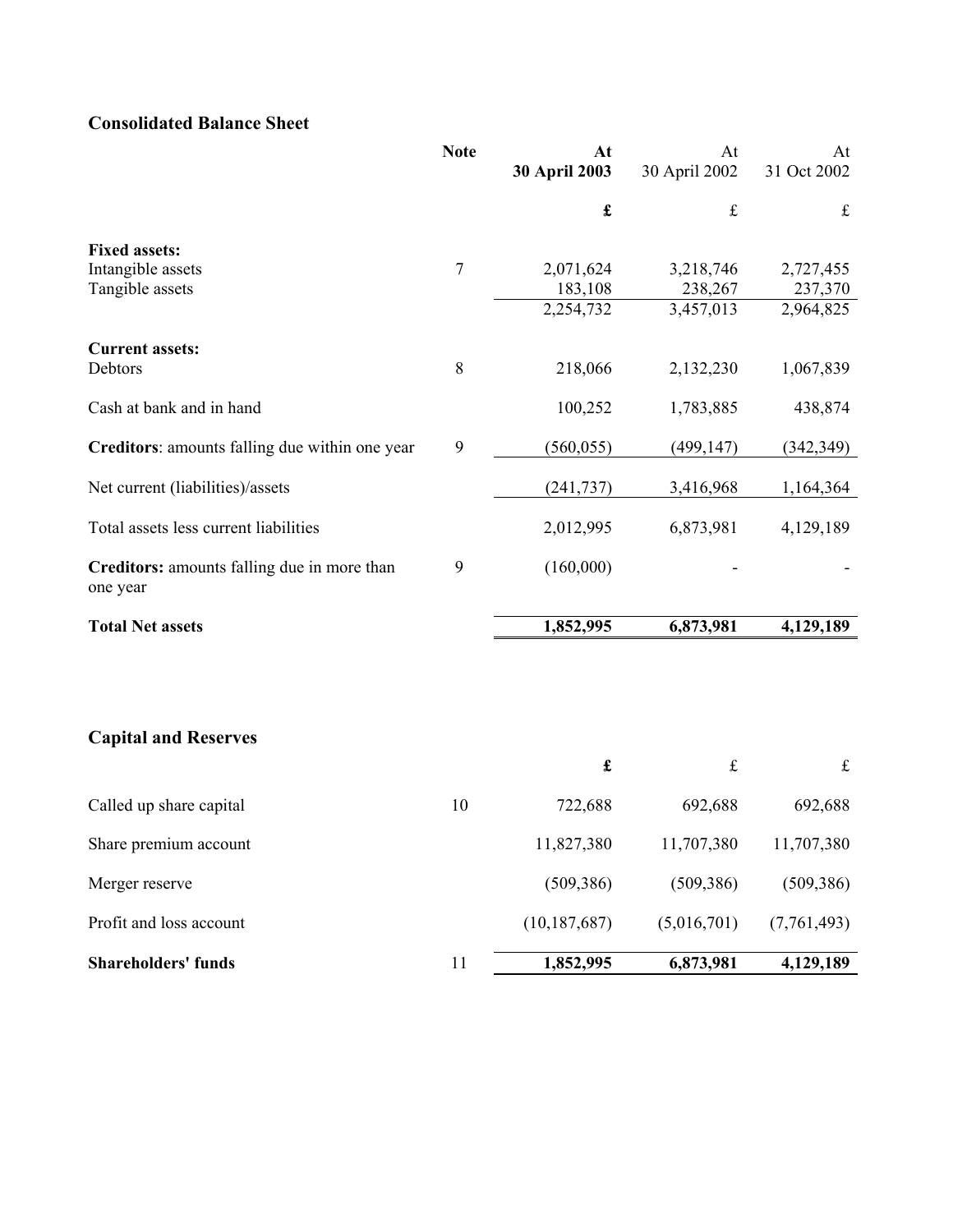# **Consolidated Balance Sheet**

|                                                         | <b>Note</b>      | At<br>30 April 2003  | At<br>30 April 2002  | At<br>31 Oct 2002    |
|---------------------------------------------------------|------------------|----------------------|----------------------|----------------------|
|                                                         |                  |                      |                      |                      |
|                                                         |                  | $\pmb{\mathfrak{L}}$ | $\mathbf f$          | $\mathbf f$          |
| <b>Fixed assets:</b>                                    |                  |                      |                      |                      |
| Intangible assets<br>Tangible assets                    | $\boldsymbol{7}$ | 2,071,624<br>183,108 | 3,218,746<br>238,267 | 2,727,455<br>237,370 |
|                                                         |                  | 2,254,732            | 3,457,013            | 2,964,825            |
| <b>Current assets:</b>                                  |                  |                      |                      |                      |
| Debtors                                                 | $8\,$            | 218,066              | 2,132,230            | 1,067,839            |
| Cash at bank and in hand                                |                  | 100,252              | 1,783,885            | 438,874              |
| Creditors: amounts falling due within one year          | 9                | (560, 055)           | (499, 147)           | (342, 349)           |
| Net current (liabilities)/assets                        |                  | (241, 737)           | 3,416,968            | 1,164,364            |
| Total assets less current liabilities                   |                  | 2,012,995            | 6,873,981            | 4,129,189            |
| Creditors: amounts falling due in more than<br>one year | 9                | (160,000)            |                      |                      |
| <b>Total Net assets</b>                                 |                  | 1,852,995            | 6,873,981            | 4,129,189            |
|                                                         |                  |                      |                      |                      |
| <b>Capital and Reserves</b>                             |                  |                      |                      |                      |
|                                                         |                  | $\pmb{\mathfrak{L}}$ | $\pounds$            | $\mathbf f$          |
| Called up share capital                                 | 10               | 722,688              | 692,688              | 692,688              |
| Share premium account                                   |                  | 11,827,380           | 11,707,380           | 11,707,380           |
| Merger reserve                                          |                  | (509, 386)           | (509, 386)           | (509, 386)           |
| Profit and loss account                                 |                  | (10, 187, 687)       | (5,016,701)          | (7,761,493)          |
| <b>Shareholders' funds</b>                              | 11               | 1,852,995            | 6,873,981            | 4,129,189            |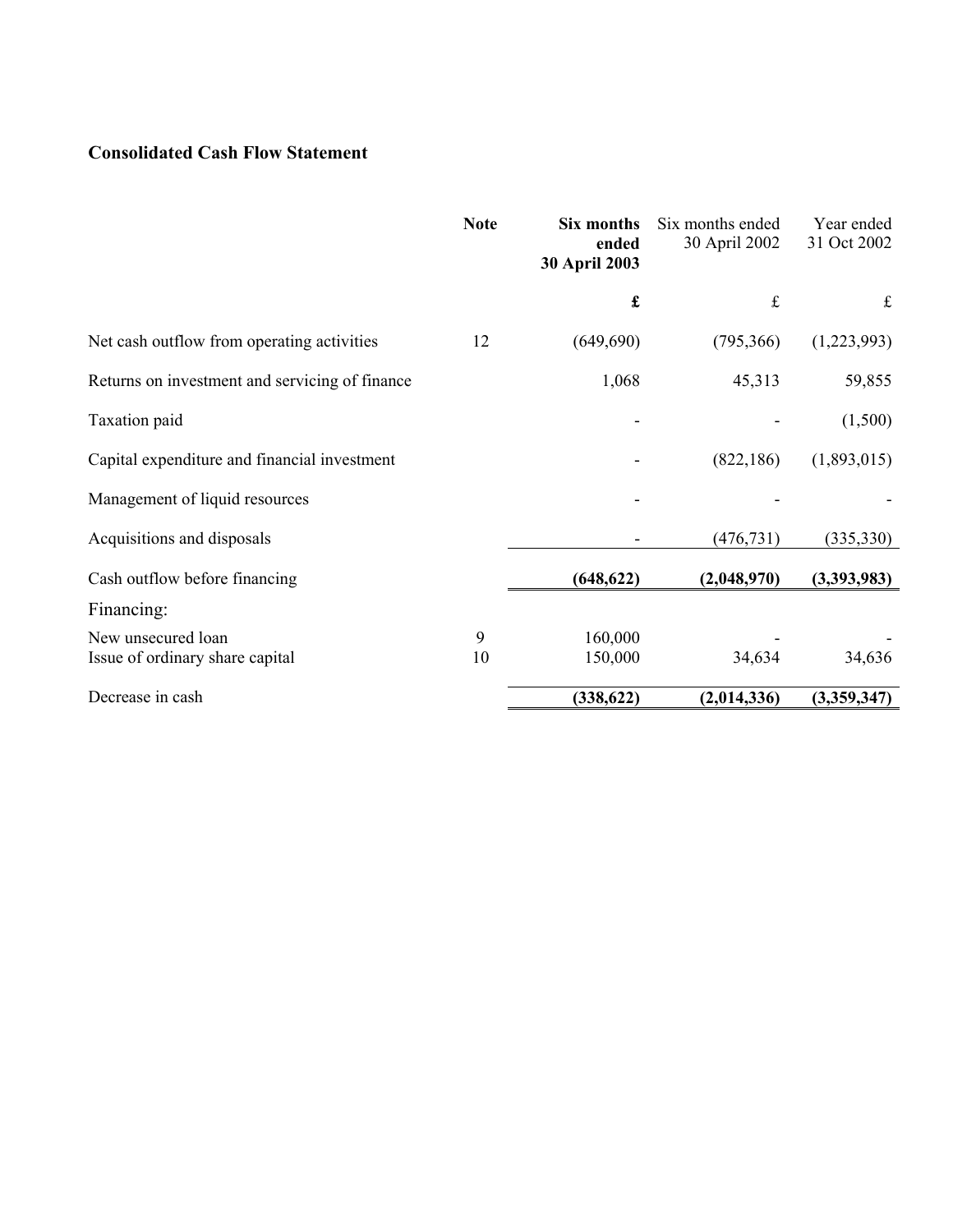# **Consolidated Cash Flow Statement**

|                                                       | <b>Note</b> | Six months<br>ended<br>30 April 2003 | Six months ended<br>30 April 2002 | Year ended<br>31 Oct 2002 |
|-------------------------------------------------------|-------------|--------------------------------------|-----------------------------------|---------------------------|
|                                                       |             | $\pmb{\mathfrak{L}}$                 | $\pounds$                         | $\mathbf f$               |
| Net cash outflow from operating activities            | 12          | (649, 690)                           | (795,366)                         | (1,223,993)               |
| Returns on investment and servicing of finance        |             | 1,068                                | 45,313                            | 59,855                    |
| Taxation paid                                         |             |                                      |                                   | (1,500)                   |
| Capital expenditure and financial investment          |             |                                      | (822, 186)                        | (1,893,015)               |
| Management of liquid resources                        |             |                                      |                                   |                           |
| Acquisitions and disposals                            |             |                                      | (476, 731)                        | (335, 330)                |
| Cash outflow before financing                         |             | (648, 622)                           | (2,048,970)                       | (3,393,983)               |
| Financing:                                            |             |                                      |                                   |                           |
| New unsecured loan<br>Issue of ordinary share capital | 9<br>10     | 160,000<br>150,000                   | 34,634                            | 34,636                    |
| Decrease in cash                                      |             | (338, 622)                           | (2,014,336)                       | (3,359,347)               |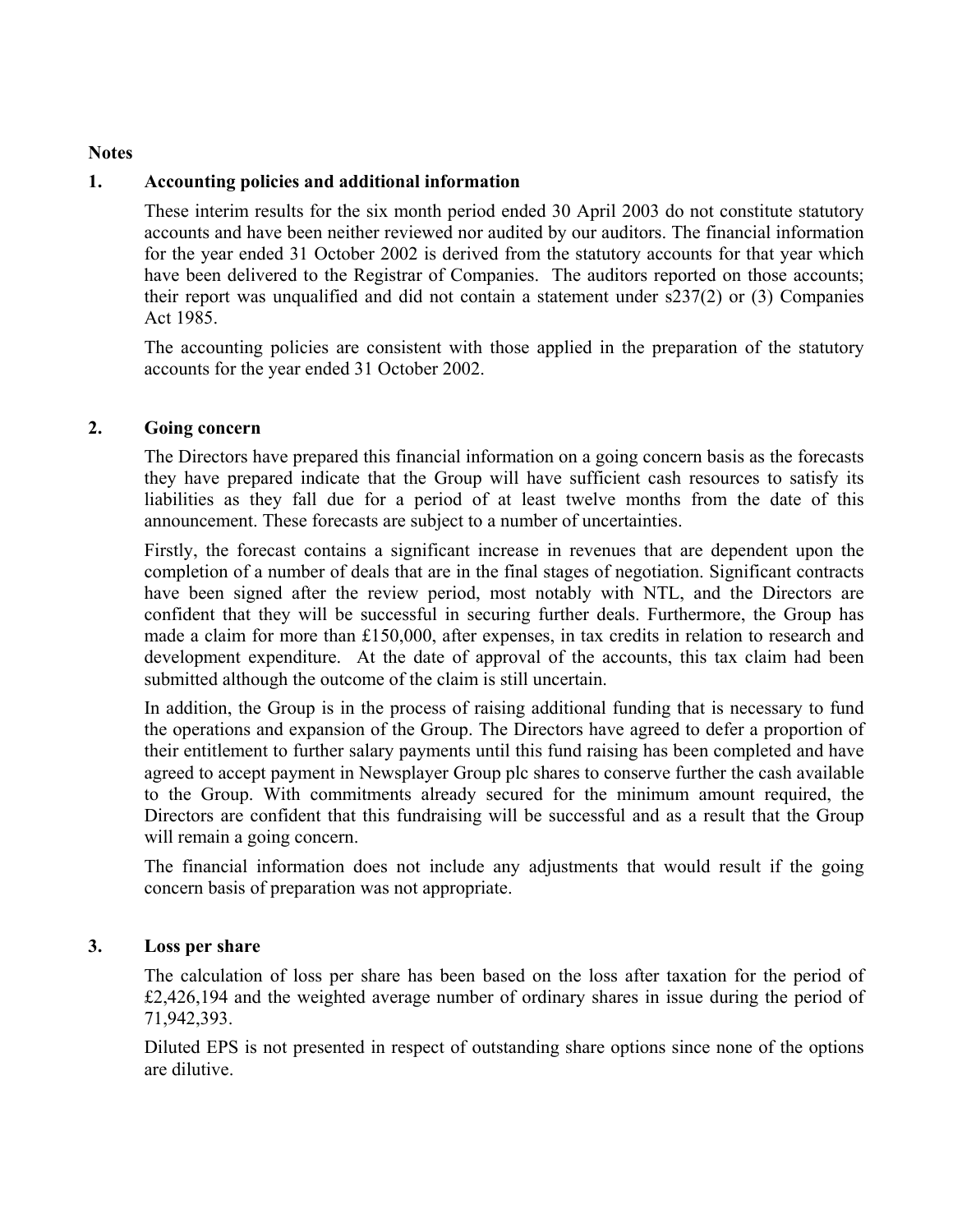### **Notes**

### **1. Accounting policies and additional information**

These interim results for the six month period ended 30 April 2003 do not constitute statutory accounts and have been neither reviewed nor audited by our auditors. The financial information for the year ended 31 October 2002 is derived from the statutory accounts for that year which have been delivered to the Registrar of Companies. The auditors reported on those accounts; their report was unqualified and did not contain a statement under s237(2) or (3) Companies Act 1985.

The accounting policies are consistent with those applied in the preparation of the statutory accounts for the year ended 31 October 2002.

### **2. Going concern**

The Directors have prepared this financial information on a going concern basis as the forecasts they have prepared indicate that the Group will have sufficient cash resources to satisfy its liabilities as they fall due for a period of at least twelve months from the date of this announcement. These forecasts are subject to a number of uncertainties.

Firstly, the forecast contains a significant increase in revenues that are dependent upon the completion of a number of deals that are in the final stages of negotiation. Significant contracts have been signed after the review period, most notably with NTL, and the Directors are confident that they will be successful in securing further deals. Furthermore, the Group has made a claim for more than £150,000, after expenses, in tax credits in relation to research and development expenditure. At the date of approval of the accounts, this tax claim had been submitted although the outcome of the claim is still uncertain.

In addition, the Group is in the process of raising additional funding that is necessary to fund the operations and expansion of the Group. The Directors have agreed to defer a proportion of their entitlement to further salary payments until this fund raising has been completed and have agreed to accept payment in Newsplayer Group plc shares to conserve further the cash available to the Group. With commitments already secured for the minimum amount required, the Directors are confident that this fundraising will be successful and as a result that the Group will remain a going concern.

The financial information does not include any adjustments that would result if the going concern basis of preparation was not appropriate.

### **3. Loss per share**

The calculation of loss per share has been based on the loss after taxation for the period of £2,426,194 and the weighted average number of ordinary shares in issue during the period of 71,942,393.

Diluted EPS is not presented in respect of outstanding share options since none of the options are dilutive.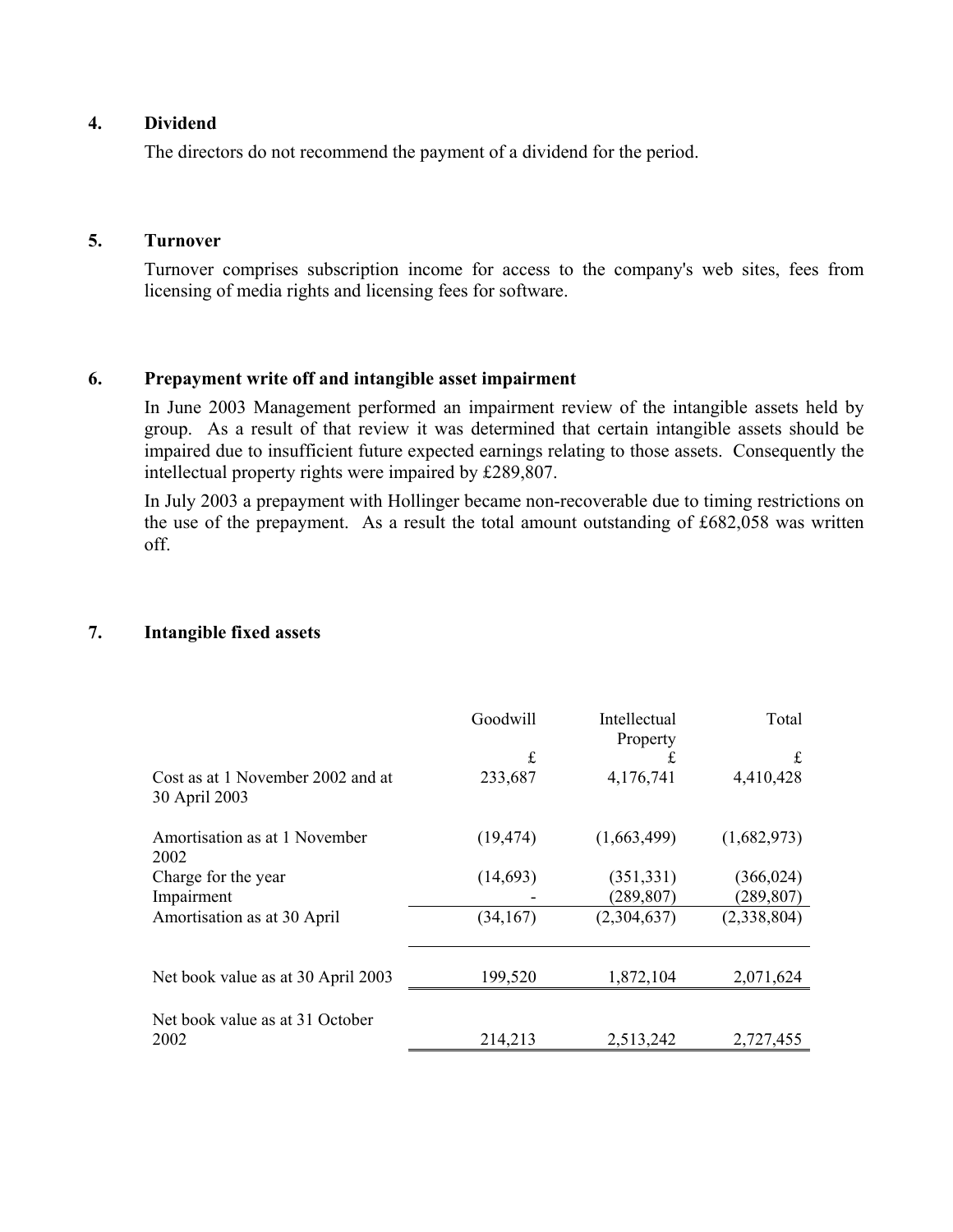## **4. Dividend**

The directors do not recommend the payment of a dividend for the period.

#### **5. Turnover**

Turnover comprises subscription income for access to the company's web sites, fees from licensing of media rights and licensing fees for software.

## **6. Prepayment write off and intangible asset impairment**

In June 2003 Management performed an impairment review of the intangible assets held by group. As a result of that review it was determined that certain intangible assets should be impaired due to insufficient future expected earnings relating to those assets. Consequently the intellectual property rights were impaired by £289,807.

In July 2003 a prepayment with Hollinger became non-recoverable due to timing restrictions on the use of the prepayment. As a result the total amount outstanding of £682,058 was written off.

### **7. Intangible fixed assets**

|                                                    | Goodwill  | Intellectual<br>Property | Total       |
|----------------------------------------------------|-----------|--------------------------|-------------|
|                                                    | £         | £                        | £           |
| Cost as at 1 November 2002 and at<br>30 April 2003 | 233,687   | 4,176,741                | 4,410,428   |
| Amortisation as at 1 November<br>2002              | (19, 474) | (1,663,499)              | (1,682,973) |
| Charge for the year                                | (14,693)  | (351, 331)               | (366, 024)  |
| Impairment                                         |           | (289, 807)               | (289, 807)  |
| Amortisation as at 30 April                        | (34, 167) | (2,304,637)              | (2,338,804) |
| Net book value as at 30 April 2003                 | 199,520   | 1,872,104                | 2,071,624   |
|                                                    |           |                          |             |
| Net book value as at 31 October                    |           |                          |             |
| 2002                                               | 214,213   | 2,513,242                | 2,727,455   |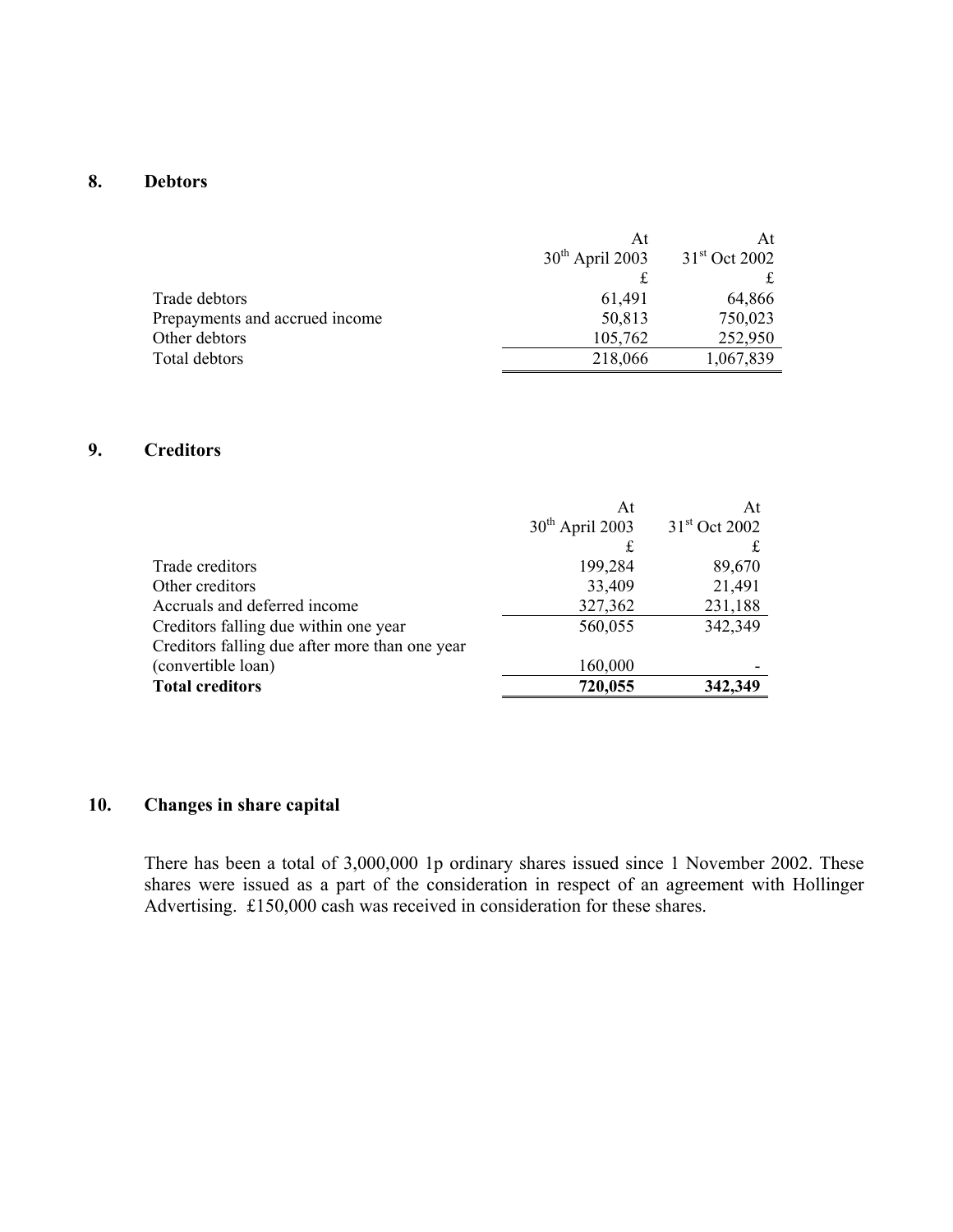# **8. Debtors**

|                                | At                | At                        |
|--------------------------------|-------------------|---------------------------|
|                                | $30th$ April 2003 | 31 <sup>st</sup> Oct 2002 |
|                                |                   |                           |
| Trade debtors                  | 61,491            | 64,866                    |
| Prepayments and accrued income | 50,813            | 750,023                   |
| Other debtors                  | 105,762           | 252,950                   |
| Total debtors                  | 218,066           | 1,067,839                 |

### **9. Creditors**

|                                                | At                | At                        |
|------------------------------------------------|-------------------|---------------------------|
|                                                | $30th$ April 2003 | 31 <sup>st</sup> Oct 2002 |
|                                                |                   |                           |
| Trade creditors                                | 199,284           | 89,670                    |
| Other creditors                                | 33,409            | 21,491                    |
| Accruals and deferred income                   | 327,362           | 231,188                   |
| Creditors falling due within one year          | 560,055           | 342,349                   |
| Creditors falling due after more than one year |                   |                           |
| (convertible loan)                             | 160,000           |                           |
| <b>Total creditors</b>                         | 720,055           | 342,349                   |

# **10. Changes in share capital**

There has been a total of 3,000,000 1p ordinary shares issued since 1 November 2002. These shares were issued as a part of the consideration in respect of an agreement with Hollinger Advertising. £150,000 cash was received in consideration for these shares.